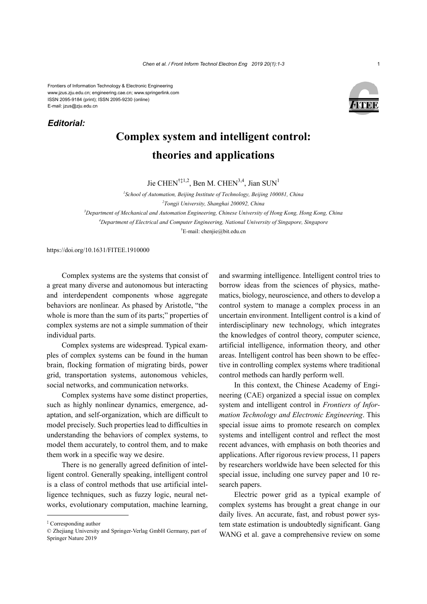Frontiers of Information Technology & Electronic Engineering www.jzus.zju.edu.cn; engineering.cae.cn; www.springerlink.com ISSN 2095-9184 (print); ISSN 2095-9230 (online) E-mail: jzus@zju.edu.cn

*Editorial:*



## **Complex system and intelligent control: theories and applications**

Jie CHEN<sup>†‡1,2</sup>, Ben M. CHEN<sup>3,4</sup>, Jian SUN<sup>1</sup>

<sup>1</sup> School of Automation, Beijing Institute of Technology, Beijing 100081, China *Tongji University, Shanghai 200092, China Department of Mechanical and Automation Engineering, Chinese University of Hong Kong, Hong Kong, China Department of Electrical and Computer Engineering, National University of Singapore, Singapore*

† E-mail: chenjie@bit.edu.cn

https://doi.org/10.1631/FITEE.1910000

Complex systems are the systems that consist of a great many diverse and autonomous but interacting and interdependent components whose aggregate behaviors are nonlinear. As phased by Aristotle, "the whole is more than the sum of its parts;" properties of complex systems are not a simple summation of their individual parts.

Complex systems are widespread. Typical examples of complex systems can be found in the human brain, flocking formation of migrating birds, power grid, transportation systems, autonomous vehicles, social networks, and communication networks.

Complex systems have some distinct properties, such as highly nonlinear dynamics, emergence, adaptation, and self-organization, which are difficult to model precisely. Such properties lead to difficulties in understanding the behaviors of complex systems, to model them accurately, to control them, and to make them work in a specific way we desire.

There is no generally agreed definition of intelligent control. Generally speaking, intelligent control is a class of control methods that use artificial intelligence techniques, such as fuzzy logic, neural networks, evolutionary computation, machine learning,

and swarming intelligence. Intelligent control tries to borrow ideas from the sciences of physics, mathematics, biology, neuroscience, and others to develop a control system to manage a complex process in an uncertain environment. Intelligent control is a kind of interdisciplinary new technology, which integrates the knowledges of control theory, computer science, artificial intelligence, information theory, and other areas. Intelligent control has been shown to be effective in controlling complex systems where traditional control methods can hardly perform well.

In this context, the Chinese Academy of Engineering (CAE) organized a special issue on complex system and intelligent control in *Frontiers of Information Technology and Electronic Engineering*. This special issue aims to promote research on complex systems and intelligent control and reflect the most recent advances, with emphasis on both theories and applications. After rigorous review process, 11 papers by researchers worldwide have been selected for this special issue, including one survey paper and 10 research papers.

Electric power grid as a typical example of complex systems has brought a great change in our daily lives. An accurate, fast, and robust power system state estimation is undoubtedly significant. Gang WANG et al. gave a comprehensive review on some

<sup>‡</sup> Corresponding author

<sup>©</sup> Zhejiang University and Springer-Verlag GmbH Germany, part of Springer Nature 2019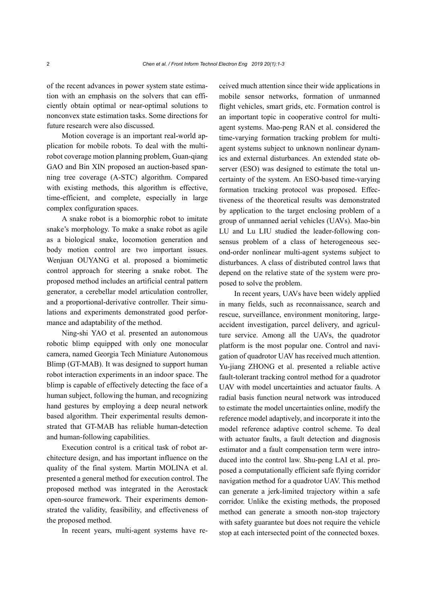of the recent advances in power system state estimation with an emphasis on the solvers that can efficiently obtain optimal or near-optimal solutions to nonconvex state estimation tasks. Some directions for future research were also discussed.

Motion coverage is an important real-world application for mobile robots. To deal with the multirobot coverage motion planning problem, Guan-qiang GAO and Bin XIN proposed an auction-based spanning tree coverage (A-STC) algorithm. Compared with existing methods, this algorithm is effective, time-efficient, and complete, especially in large complex configuration spaces.

A snake robot is a biomorphic robot to imitate snake's morphology. To make a snake robot as agile as a biological snake, locomotion generation and body motion control are two important issues. Wenjuan OUYANG et al. proposed a biomimetic control approach for steering a snake robot. The proposed method includes an artificial central pattern generator, a cerebellar model articulation controller, and a proportional-derivative controller. Their simulations and experiments demonstrated good performance and adaptability of the method.

Ning-shi YAO et al. presented an autonomous robotic blimp equipped with only one monocular camera, named Georgia Tech Miniature Autonomous Blimp (GT-MAB). It was designed to support human robot interaction experiments in an indoor space. The blimp is capable of effectively detecting the face of a human subject, following the human, and recognizing hand gestures by employing a deep neural network based algorithm. Their experimental results demonstrated that GT-MAB has reliable human-detection and human-following capabilities.

Execution control is a critical task of robot architecture design, and has important influence on the quality of the final system. Martin MOLINA et al. presented a general method for execution control. The proposed method was integrated in the Aerostack open-source framework. Their experiments demonstrated the validity, feasibility, and effectiveness of the proposed method.

In recent years, multi-agent systems have re-

ceived much attention since their wide applications in mobile sensor networks, formation of unmanned flight vehicles, smart grids, etc. Formation control is an important topic in cooperative control for multiagent systems. Mao-peng RAN et al. considered the time-varying formation tracking problem for multiagent systems subject to unknown nonlinear dynamics and external disturbances. An extended state observer (ESO) was designed to estimate the total uncertainty of the system. An ESO-based time-varying formation tracking protocol was proposed. Effectiveness of the theoretical results was demonstrated by application to the target enclosing problem of a group of unmanned aerial vehicles (UAVs). Mao-bin LU and Lu LIU studied the leader-following consensus problem of a class of heterogeneous second-order nonlinear multi-agent systems subject to disturbances. A class of distributed control laws that depend on the relative state of the system were proposed to solve the problem.

In recent years, UAVs have been widely applied in many fields, such as reconnaissance, search and rescue, surveillance, environment monitoring, largeaccident investigation, parcel delivery, and agriculture service. Among all the UAVs, the quadrotor platform is the most popular one. Control and navigation of quadrotor UAV has received much attention. Yu-jiang ZHONG et al. presented a reliable active fault-tolerant tracking control method for a quadrotor UAV with model uncertainties and actuator faults. A radial basis function neural network was introduced to estimate the model uncertainties online, modify the reference model adaptively, and incorporate it into the model reference adaptive control scheme. To deal with actuator faults, a fault detection and diagnosis estimator and a fault compensation term were introduced into the control law. Shu-peng LAI et al. proposed a computationally efficient safe flying corridor navigation method for a quadrotor UAV. This method can generate a jerk-limited trajectory within a safe corridor. Unlike the existing methods, the proposed method can generate a smooth non-stop trajectory with safety guarantee but does not require the vehicle stop at each intersected point of the connected boxes.